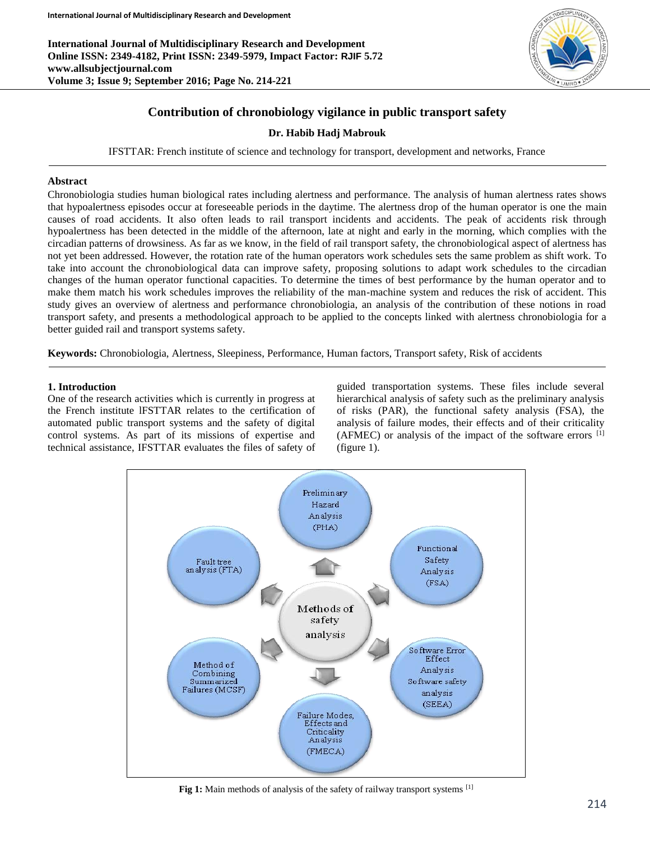**International Journal of Multidisciplinary Research and Development Online ISSN: 2349-4182, Print ISSN: 2349-5979, Impact Factor: RJIF 5.72 www.allsubjectjournal.com Volume 3; Issue 9; September 2016; Page No. 214-221**



# **Contribution of chronobiology vigilance in public transport safety**

## **Dr. Habib Hadj Mabrouk**

IFSTTAR: French institute of science and technology for transport, development and networks, France

### **Abstract**

Chronobiologia studies human biological rates including alertness and performance. The analysis of human alertness rates shows that hypoalertness episodes occur at foreseeable periods in the daytime. The alertness drop of the human operator is one the main causes of road accidents. It also often leads to rail transport incidents and accidents. The peak of accidents risk through hypoalertness has been detected in the middle of the afternoon, late at night and early in the morning, which complies with the circadian patterns of drowsiness. As far as we know, in the field of rail transport safety, the chronobiological aspect of alertness has not yet been addressed. However, the rotation rate of the human operators work schedules sets the same problem as shift work. To take into account the chronobiological data can improve safety, proposing solutions to adapt work schedules to the circadian changes of the human operator functional capacities. To determine the times of best performance by the human operator and to make them match his work schedules improves the reliability of the man-machine system and reduces the risk of accident. This study gives an overview of alertness and performance chronobiologia, an analysis of the contribution of these notions in road transport safety, and presents a methodological approach to be applied to the concepts linked with alertness chronobiologia for a better guided rail and transport systems safety.

**Keywords:** Chronobiologia, Alertness, Sleepiness, Performance, Human factors, Transport safety, Risk of accidents

#### **1. Introduction**

One of the research activities which is currently in progress at the French institute lFSTTAR relates to the certification of automated public transport systems and the safety of digital control systems. As part of its missions of expertise and technical assistance, IFSTTAR evaluates the files of safety of

guided transportation systems. These files include several hierarchical analysis of safety such as the preliminary analysis of risks (PAR), the functional safety analysis (FSA), the analysis of failure modes, their effects and of their criticality (AFMEC) or analysis of the impact of the software errors [1] (figure 1).



Fig 1: Main methods of analysis of the safety of railway transport systems <sup>[1]</sup>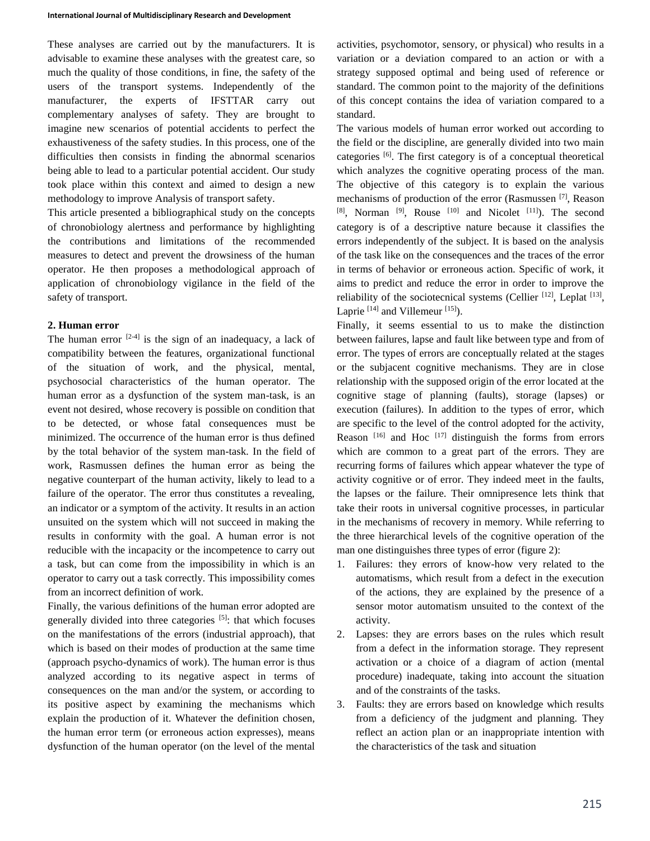These analyses are carried out by the manufacturers. It is advisable to examine these analyses with the greatest care, so much the quality of those conditions, in fine, the safety of the users of the transport systems. Independently of the manufacturer, the experts of IFSTTAR carry out complementary analyses of safety. They are brought to imagine new scenarios of potential accidents to perfect the exhaustiveness of the safety studies. In this process, one of the difficulties then consists in finding the abnormal scenarios being able to lead to a particular potential accident. Our study took place within this context and aimed to design a new methodology to improve Analysis of transport safety.

This article presented a bibliographical study on the concepts of chronobiology alertness and performance by highlighting the contributions and limitations of the recommended measures to detect and prevent the drowsiness of the human operator. He then proposes a methodological approach of application of chronobiology vigilance in the field of the safety of transport.

#### **2. Human error**

The human error  $[2-4]$  is the sign of an inadequacy, a lack of compatibility between the features, organizational functional of the situation of work, and the physical, mental, psychosocial characteristics of the human operator. The human error as a dysfunction of the system man-task, is an event not desired, whose recovery is possible on condition that to be detected, or whose fatal consequences must be minimized. The occurrence of the human error is thus defined by the total behavior of the system man-task. In the field of work, Rasmussen defines the human error as being the negative counterpart of the human activity, likely to lead to a failure of the operator. The error thus constitutes a revealing, an indicator or a symptom of the activity. It results in an action unsuited on the system which will not succeed in making the results in conformity with the goal. A human error is not reducible with the incapacity or the incompetence to carry out a task, but can come from the impossibility in which is an operator to carry out a task correctly. This impossibility comes from an incorrect definition of work.

Finally, the various definitions of the human error adopted are generally divided into three categories [5]: that which focuses on the manifestations of the errors (industrial approach), that which is based on their modes of production at the same time (approach psycho-dynamics of work). The human error is thus analyzed according to its negative aspect in terms of consequences on the man and/or the system, or according to its positive aspect by examining the mechanisms which explain the production of it. Whatever the definition chosen, the human error term (or erroneous action expresses), means dysfunction of the human operator (on the level of the mental

activities, psychomotor, sensory, or physical) who results in a variation or a deviation compared to an action or with a strategy supposed optimal and being used of reference or standard. The common point to the majority of the definitions of this concept contains the idea of variation compared to a standard.

The various models of human error worked out according to the field or the discipline, are generally divided into two main categories [6]. The first category is of a conceptual theoretical which analyzes the cognitive operating process of the man. The objective of this category is to explain the various mechanisms of production of the error (Rasmussen [7], Reason [8], Norman [9], Rouse [10] and Nicolet [11]). The second category is of a descriptive nature because it classifies the errors independently of the subject. It is based on the analysis of the task like on the consequences and the traces of the error in terms of behavior or erroneous action. Specific of work, it aims to predict and reduce the error in order to improve the reliability of the sociotecnical systems (Cellier  $[12]$ , Leplat  $[13]$ , Laprie  $[14]$  and Villemeur  $[15]$ ).

Finally, it seems essential to us to make the distinction between failures, lapse and fault like between type and from of error. The types of errors are conceptually related at the stages or the subjacent cognitive mechanisms. They are in close relationship with the supposed origin of the error located at the cognitive stage of planning (faults), storage (lapses) or execution (failures). In addition to the types of error, which are specific to the level of the control adopted for the activity, Reason  $[16]$  and Hoc  $[17]$  distinguish the forms from errors which are common to a great part of the errors. They are recurring forms of failures which appear whatever the type of activity cognitive or of error. They indeed meet in the faults, the lapses or the failure. Their omnipresence lets think that take their roots in universal cognitive processes, in particular in the mechanisms of recovery in memory. While referring to the three hierarchical levels of the cognitive operation of the man one distinguishes three types of error (figure 2):

- 1. Failures: they errors of know-how very related to the automatisms, which result from a defect in the execution of the actions, they are explained by the presence of a sensor motor automatism unsuited to the context of the activity.
- 2. Lapses: they are errors bases on the rules which result from a defect in the information storage. They represent activation or a choice of a diagram of action (mental procedure) inadequate, taking into account the situation and of the constraints of the tasks.
- 3. Faults: they are errors based on knowledge which results from a deficiency of the judgment and planning. They reflect an action plan or an inappropriate intention with the characteristics of the task and situation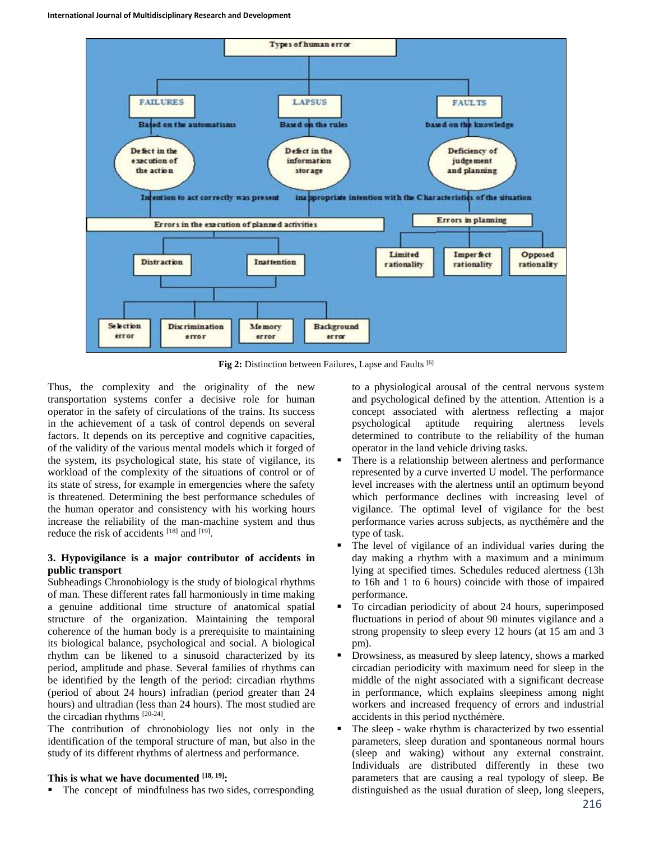

**Fig 2:** Distinction between Failures, Lapse and Faults [6]

Thus, the complexity and the originality of the new transportation systems confer a decisive role for human operator in the safety of circulations of the trains. Its success in the achievement of a task of control depends on several factors. It depends on its perceptive and cognitive capacities, of the validity of the various mental models which it forged of the system, its psychological state, his state of vigilance, its workload of the complexity of the situations of control or of its state of stress, for example in emergencies where the safety is threatened. Determining the best performance schedules of the human operator and consistency with his working hours increase the reliability of the man-machine system and thus reduce the risk of accidents [18] and [19].

## **3. Hypovigilance is a major contributor of accidents in public transport**

Subheadings Chronobiology is the study of biological rhythms of man. These different rates fall harmoniously in time making a genuine additional time structure of anatomical spatial structure of the organization. Maintaining the temporal coherence of the human body is a prerequisite to maintaining its biological balance, psychological and social. A biological rhythm can be likened to a sinusoid characterized by its period, amplitude and phase. Several families of rhythms can be identified by the length of the period: circadian rhythms (period of about 24 hours) infradian (period greater than 24 hours) and ultradian (less than 24 hours). The most studied are the circadian rhythms  $[20-24]$ .

The contribution of chronobiology lies not only in the identification of the temporal structure of man, but also in the study of its different rhythms of alertness and performance.

## **This is what we have documented [18, 19] :**

• The concept of mindfulness has two sides, corresponding

to a physiological arousal of the central nervous system and psychological defined by the attention. Attention is a concept associated with alertness reflecting a major psychological aptitude requiring alertness levels determined to contribute to the reliability of the human operator in the land vehicle driving tasks.

- There is a relationship between alertness and performance represented by a curve inverted U model. The performance level increases with the alertness until an optimum beyond which performance declines with increasing level of vigilance. The optimal level of vigilance for the best performance varies across subjects, as nycthémère and the type of task.
- The level of vigilance of an individual varies during the day making a rhythm with a maximum and a minimum lying at specified times. Schedules reduced alertness (13h to 16h and 1 to 6 hours) coincide with those of impaired performance.
- To circadian periodicity of about 24 hours, superimposed fluctuations in period of about 90 minutes vigilance and a strong propensity to sleep every 12 hours (at 15 am and 3 pm).
- Drowsiness, as measured by sleep latency, shows a marked circadian periodicity with maximum need for sleep in the middle of the night associated with a significant decrease in performance, which explains sleepiness among night workers and increased frequency of errors and industrial accidents in this period nycthémère.
- The sleep wake rhythm is characterized by two essential parameters, sleep duration and spontaneous normal hours (sleep and waking) without any external constraint. Individuals are distributed differently in these two parameters that are causing a real typology of sleep. Be distinguished as the usual duration of sleep, long sleepers,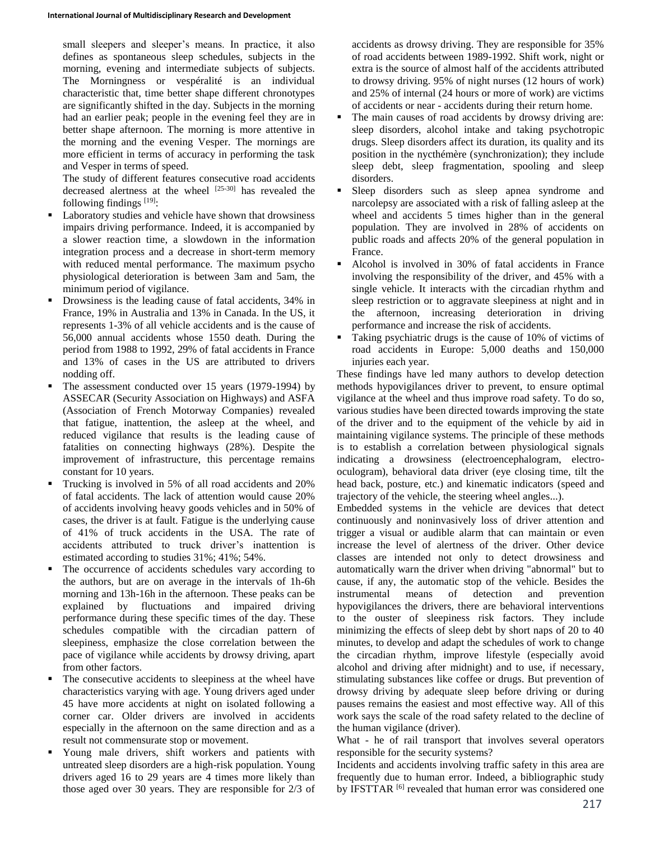small sleepers and sleeper's means. In practice, it also defines as spontaneous sleep schedules, subjects in the morning, evening and intermediate subjects of subjects. The Morningness or vespéralité is an individual characteristic that, time better shape different chronotypes are significantly shifted in the day. Subjects in the morning had an earlier peak; people in the evening feel they are in better shape afternoon. The morning is more attentive in the morning and the evening Vesper. The mornings are more efficient in terms of accuracy in performing the task and Vesper in terms of speed.

The study of different features consecutive road accidents decreased alertness at the wheel  $[25-30]$  has revealed the following findings  $[19]$ :

- Laboratory studies and vehicle have shown that drowsiness impairs driving performance. Indeed, it is accompanied by a slower reaction time, a slowdown in the information integration process and a decrease in short-term memory with reduced mental performance. The maximum psycho physiological deterioration is between 3am and 5am, the minimum period of vigilance.
- Drowsiness is the leading cause of fatal accidents, 34% in France, 19% in Australia and 13% in Canada. In the US, it represents 1-3% of all vehicle accidents and is the cause of 56,000 annual accidents whose 1550 death. During the period from 1988 to 1992, 29% of fatal accidents in France and 13% of cases in the US are attributed to drivers nodding off.
- The assessment conducted over 15 years (1979-1994) by ASSECAR (Security Association on Highways) and ASFA (Association of French Motorway Companies) revealed that fatigue, inattention, the asleep at the wheel, and reduced vigilance that results is the leading cause of fatalities on connecting highways (28%). Despite the improvement of infrastructure, this percentage remains constant for 10 years.
- Trucking is involved in 5% of all road accidents and 20% of fatal accidents. The lack of attention would cause 20% of accidents involving heavy goods vehicles and in 50% of cases, the driver is at fault. Fatigue is the underlying cause of 41% of truck accidents in the USA. The rate of accidents attributed to truck driver's inattention is estimated according to studies 31%; 41%; 54%.
- The occurrence of accidents schedules vary according to the authors, but are on average in the intervals of 1h-6h morning and 13h-16h in the afternoon. These peaks can be explained by fluctuations and impaired driving performance during these specific times of the day. These schedules compatible with the circadian pattern of sleepiness, emphasize the close correlation between the pace of vigilance while accidents by drowsy driving, apart from other factors.
- The consecutive accidents to sleepiness at the wheel have characteristics varying with age. Young drivers aged under 45 have more accidents at night on isolated following a corner car. Older drivers are involved in accidents especially in the afternoon on the same direction and as a result not commensurate stop or movement.
- Young male drivers, shift workers and patients with untreated sleep disorders are a high-risk population. Young drivers aged 16 to 29 years are 4 times more likely than those aged over 30 years. They are responsible for 2/3 of

accidents as drowsy driving. They are responsible for 35% of road accidents between 1989-1992. Shift work, night or extra is the source of almost half of the accidents attributed to drowsy driving. 95% of night nurses (12 hours of work) and 25% of internal (24 hours or more of work) are victims of accidents or near - accidents during their return home.

- The main causes of road accidents by drowsy driving are: sleep disorders, alcohol intake and taking psychotropic drugs. Sleep disorders affect its duration, its quality and its position in the nycthémère (synchronization); they include sleep debt, sleep fragmentation, spooling and sleep disorders.
- Sleep disorders such as sleep apnea syndrome and narcolepsy are associated with a risk of falling asleep at the wheel and accidents 5 times higher than in the general population. They are involved in 28% of accidents on public roads and affects 20% of the general population in France.
- Alcohol is involved in 30% of fatal accidents in France involving the responsibility of the driver, and 45% with a single vehicle. It interacts with the circadian rhythm and sleep restriction or to aggravate sleepiness at night and in the afternoon, increasing deterioration in driving performance and increase the risk of accidents.
- Taking psychiatric drugs is the cause of 10% of victims of road accidents in Europe: 5,000 deaths and 150,000 injuries each year.

These findings have led many authors to develop detection methods hypovigilances driver to prevent, to ensure optimal vigilance at the wheel and thus improve road safety. To do so, various studies have been directed towards improving the state of the driver and to the equipment of the vehicle by aid in maintaining vigilance systems. The principle of these methods is to establish a correlation between physiological signals indicating a drowsiness (electroencephalogram, electrooculogram), behavioral data driver (eye closing time, tilt the head back, posture, etc.) and kinematic indicators (speed and trajectory of the vehicle, the steering wheel angles...).

Embedded systems in the vehicle are devices that detect continuously and noninvasively loss of driver attention and trigger a visual or audible alarm that can maintain or even increase the level of alertness of the driver. Other device classes are intended not only to detect drowsiness and automatically warn the driver when driving "abnormal" but to cause, if any, the automatic stop of the vehicle. Besides the instrumental means of detection and prevention hypovigilances the drivers, there are behavioral interventions to the ouster of sleepiness risk factors. They include minimizing the effects of sleep debt by short naps of 20 to 40 minutes, to develop and adapt the schedules of work to change the circadian rhythm, improve lifestyle (especially avoid alcohol and driving after midnight) and to use, if necessary, stimulating substances like coffee or drugs. But prevention of drowsy driving by adequate sleep before driving or during pauses remains the easiest and most effective way. All of this work says the scale of the road safety related to the decline of the human vigilance (driver).

What - he of rail transport that involves several operators responsible for the security systems?

Incidents and accidents involving traffic safety in this area are frequently due to human error. Indeed, a bibliographic study by IFSTTAR<sup>[6]</sup> revealed that human error was considered one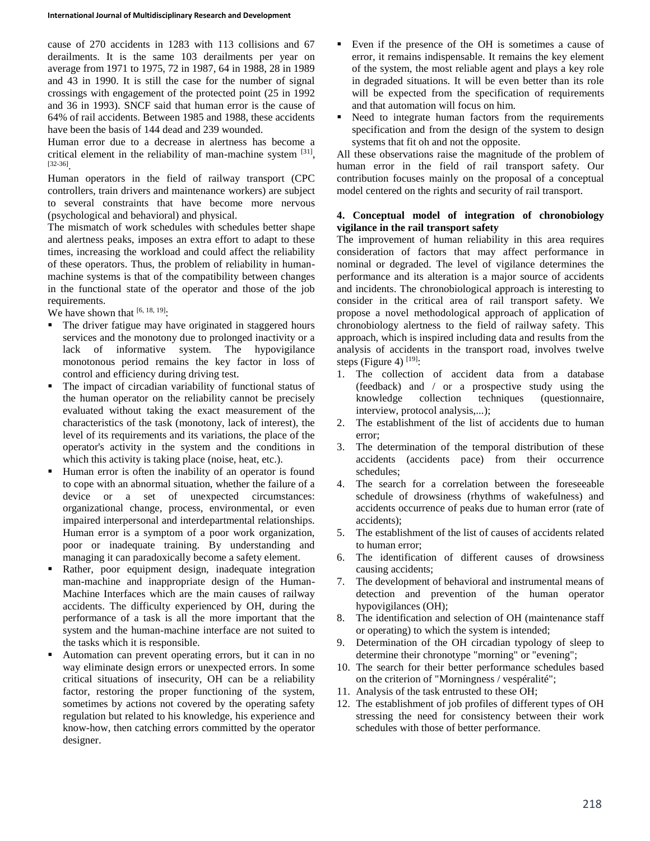cause of 270 accidents in 1283 with 113 collisions and 67 derailments. It is the same 103 derailments per year on average from 1971 to 1975, 72 in 1987, 64 in 1988, 28 in 1989 and 43 in 1990. It is still the case for the number of signal crossings with engagement of the protected point (25 in 1992 and 36 in 1993). SNCF said that human error is the cause of 64% of rail accidents. Between 1985 and 1988, these accidents have been the basis of 144 dead and 239 wounded.

Human error due to a decrease in alertness has become a critical element in the reliability of man-machine system [31], [32-36] .

Human operators in the field of railway transport (CPC controllers, train drivers and maintenance workers) are subject to several constraints that have become more nervous (psychological and behavioral) and physical.

The mismatch of work schedules with schedules better shape and alertness peaks, imposes an extra effort to adapt to these times, increasing the workload and could affect the reliability of these operators. Thus, the problem of reliability in humanmachine systems is that of the compatibility between changes in the functional state of the operator and those of the job requirements.

We have shown that  $[6, 18, 19]$ :

- The driver fatigue may have originated in staggered hours services and the monotony due to prolonged inactivity or a lack of informative system. The hypovigilance monotonous period remains the key factor in loss of control and efficiency during driving test.
- The impact of circadian variability of functional status of the human operator on the reliability cannot be precisely evaluated without taking the exact measurement of the characteristics of the task (monotony, lack of interest), the level of its requirements and its variations, the place of the operator's activity in the system and the conditions in which this activity is taking place (noise, heat, etc.).
- Human error is often the inability of an operator is found to cope with an abnormal situation, whether the failure of a device or a set of unexpected circumstances: organizational change, process, environmental, or even impaired interpersonal and interdepartmental relationships. Human error is a symptom of a poor work organization, poor or inadequate training. By understanding and managing it can paradoxically become a safety element.
- Rather, poor equipment design, inadequate integration man-machine and inappropriate design of the Human-Machine Interfaces which are the main causes of railway accidents. The difficulty experienced by OH, during the performance of a task is all the more important that the system and the human-machine interface are not suited to the tasks which it is responsible.
- Automation can prevent operating errors, but it can in no way eliminate design errors or unexpected errors. In some critical situations of insecurity, OH can be a reliability factor, restoring the proper functioning of the system, sometimes by actions not covered by the operating safety regulation but related to his knowledge, his experience and know-how, then catching errors committed by the operator designer.
- Even if the presence of the OH is sometimes a cause of error, it remains indispensable. It remains the key element of the system, the most reliable agent and plays a key role in degraded situations. It will be even better than its role will be expected from the specification of requirements and that automation will focus on him.
- Need to integrate human factors from the requirements specification and from the design of the system to design systems that fit oh and not the opposite.

All these observations raise the magnitude of the problem of human error in the field of rail transport safety. Our contribution focuses mainly on the proposal of a conceptual model centered on the rights and security of rail transport.

## **4. Conceptual model of integration of chronobiology vigilance in the rail transport safety**

The improvement of human reliability in this area requires consideration of factors that may affect performance in nominal or degraded. The level of vigilance determines the performance and its alteration is a major source of accidents and incidents. The chronobiological approach is interesting to consider in the critical area of rail transport safety. We propose a novel methodological approach of application of chronobiology alertness to the field of railway safety. This approach, which is inspired including data and results from the analysis of accidents in the transport road, involves twelve steps (Figure 4)  $^{[19]}$ :

- 1. The collection of accident data from a database (feedback) and / or a prospective study using the knowledge collection techniques (questionnaire, interview, protocol analysis,...);
- 2. The establishment of the list of accidents due to human error;
- 3. The determination of the temporal distribution of these accidents (accidents pace) from their occurrence schedules;
- 4. The search for a correlation between the foreseeable schedule of drowsiness (rhythms of wakefulness) and accidents occurrence of peaks due to human error (rate of accidents);
- 5. The establishment of the list of causes of accidents related to human error;
- 6. The identification of different causes of drowsiness causing accidents;
- 7. The development of behavioral and instrumental means of detection and prevention of the human operator hypovigilances (OH);
- 8. The identification and selection of OH (maintenance staff or operating) to which the system is intended;
- 9. Determination of the OH circadian typology of sleep to determine their chronotype "morning" or "evening";
- 10. The search for their better performance schedules based on the criterion of "Morningness / vespéralité";
- 11. Analysis of the task entrusted to these OH;
- 12. The establishment of job profiles of different types of OH stressing the need for consistency between their work schedules with those of better performance.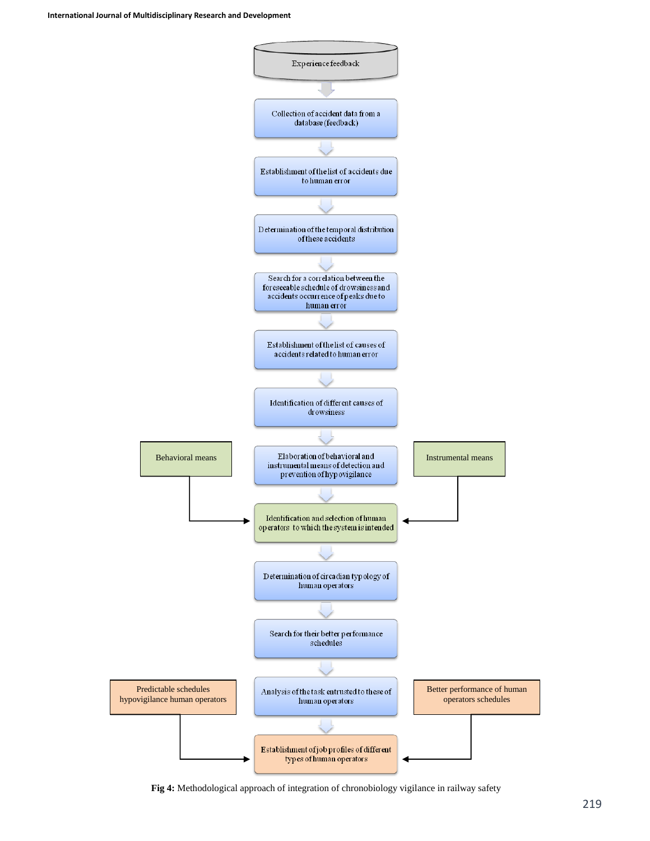

**Fig 4:** Methodological approach of integration of chronobiology vigilance in railway safety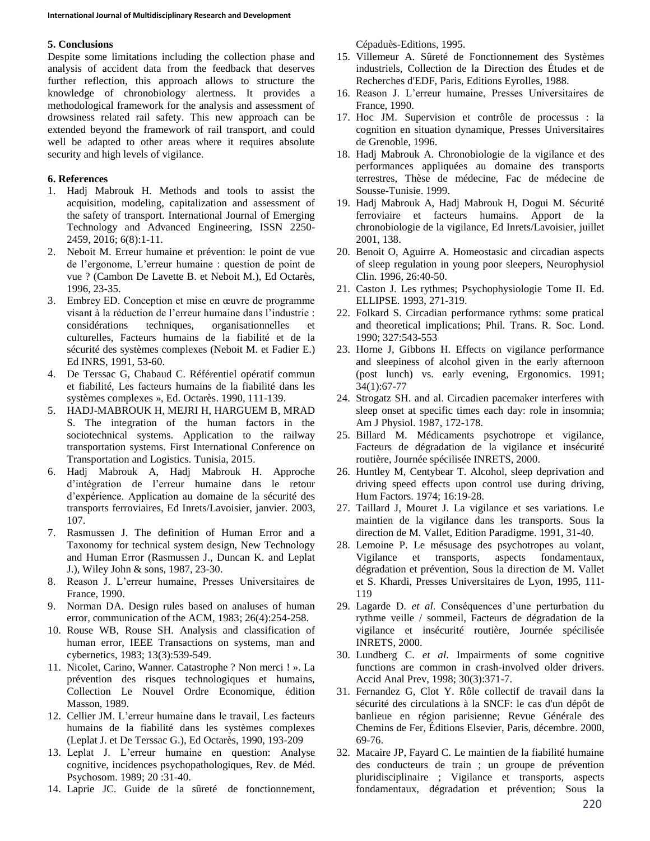### **5. Conclusions**

Despite some limitations including the collection phase and analysis of accident data from the feedback that deserves further reflection, this approach allows to structure the knowledge of chronobiology alertness. It provides a methodological framework for the analysis and assessment of drowsiness related rail safety. This new approach can be extended beyond the framework of rail transport, and could well be adapted to other areas where it requires absolute security and high levels of vigilance.

## **6. References**

- 1. Hadj Mabrouk H. Methods and tools to assist the acquisition, modeling, capitalization and assessment of the safety of transport. International Journal of Emerging Technology and Advanced Engineering, ISSN 2250- 2459, 2016; 6(8):1-11.
- 2. Neboit M. Erreur humaine et prévention: le point de vue de l'ergonome, L'erreur humaine : question de point de vue ? (Cambon De Lavette B. et Neboit M.), Ed Octarès, 1996, 23-35.
- 3. Embrey ED. Conception et mise en œuvre de programme visant à la réduction de l'erreur humaine dans l'industrie : considérations techniques, organisationnelles et culturelles, Facteurs humains de la fiabilité et de la sécurité des systèmes complexes (Neboit M. et Fadier E.) Ed INRS, 1991, 53-60.
- 4. De Terssac G, Chabaud C. Référentiel opératif commun et fiabilité, Les facteurs humains de la fiabilité dans les systèmes complexes », Ed. Octarès. 1990, 111-139.
- 5. HADJ-MABROUK H, MEJRI H, HARGUEM B, MRAD S. The integration of the human factors in the sociotechnical systems. Application to the railway transportation systems. First International Conference on Transportation and Logistics. Tunisia, 2015.
- 6. Hadj Mabrouk A, Hadj Mabrouk H. Approche d'intégration de l'erreur humaine dans le retour d'expérience. Application au domaine de la sécurité des transports ferroviaires, Ed Inrets/Lavoisier, janvier. 2003, 107.
- 7. Rasmussen J. The definition of Human Error and a Taxonomy for technical system design, New Technology and Human Error (Rasmussen J., Duncan K. and Leplat J.), Wiley John & sons, 1987, 23-30.
- 8. Reason J. L'erreur humaine, Presses Universitaires de France, 1990.
- 9. Norman DA. Design rules based on analuses of human error, communication of the ACM, 1983; 26(4):254-258.
- 10. Rouse WB, Rouse SH. Analysis and classification of human error, IEEE Transactions on systems, man and cybernetics, 1983; 13(3):539-549.
- 11. Nicolet, Carino, Wanner. Catastrophe ? Non merci ! ». La prévention des risques technologiques et humains, Collection Le Nouvel Ordre Economique, édition Masson, 1989.
- 12. Cellier JM. L'erreur humaine dans le travail, Les facteurs humains de la fiabilité dans les systèmes complexes (Leplat J. et De Terssac G.), Ed Octarès, 1990, 193-209
- 13. Leplat J. L'erreur humaine en question: Analyse cognitive, incidences psychopathologiques, Rev. de Méd. Psychosom. 1989; 20 :31-40.
- 14. Laprie JC. Guide de la sûreté de fonctionnement,

Cépaduès-Editions, 1995.

- 15. Villemeur A. Sûreté de Fonctionnement des Systèmes industriels, Collection de la Direction des Études et de Recherches d'EDF, Paris, Editions Eyrolles, 1988.
- 16. Reason J. L'erreur humaine, Presses Universitaires de France, 1990.
- 17. Hoc JM. Supervision et contrôle de processus : la cognition en situation dynamique, Presses Universitaires de Grenoble, 1996.
- 18. Hadj Mabrouk A. Chronobiologie de la vigilance et des performances appliquées au domaine des transports terrestres, Thèse de médecine, Fac de médecine de Sousse-Tunisie. 1999.
- 19. Hadj Mabrouk A, Hadj Mabrouk H, Dogui M. Sécurité ferroviaire et facteurs humains. Apport de la chronobiologie de la vigilance, Ed Inrets/Lavoisier, juillet 2001, 138.
- 20. Benoit O, Aguirre A. Homeostasic and circadian aspects of sleep regulation in young poor sleepers, Neurophysiol Clin. 1996, 26:40-50.
- 21. Caston J. Les rythmes; Psychophysiologie Tome II. Ed. ELLIPSE. 1993, 271-319.
- 22. Folkard S. Circadian performance rythms: some pratical and theoretical implications; Phil. Trans. R. Soc. Lond. 1990; 327:543-553
- 23. Horne J, Gibbons H. Effects on vigilance performance and sleepiness of alcohol given in the early afternoon (post lunch) vs. early evening, Ergonomics. 1991; 34(1):67-77
- 24. Strogatz SH. and al. Circadien pacemaker interferes with sleep onset at specific times each day: role in insomnia; Am J Physiol. 1987, 172-178.
- 25. Billard M. Médicaments psychotrope et vigilance, Facteurs de dégradation de la vigilance et insécurité routière, Journée spécilisée INRETS, 2000.
- 26. Huntley M, Centybear T. Alcohol, sleep deprivation and driving speed effects upon control use during driving, Hum Factors. 1974; 16:19-28.
- 27. Taillard J, Mouret J. La vigilance et ses variations. Le maintien de la vigilance dans les transports. Sous la direction de M. Vallet, Edition Paradigme. 1991, 31-40.
- 28. Lemoine P. Le mésusage des psychotropes au volant, Vigilance et transports, aspects fondamentaux, dégradation et prévention, Sous la direction de M. Vallet et S. Khardi, Presses Universitaires de Lyon, 1995, 111- 119
- 29. Lagarde D. *et al*. Conséquences d'une perturbation du rythme veille / sommeil, Facteurs de dégradation de la vigilance et insécurité routière, Journée spécilisée INRETS, 2000.
- 30. Lundberg C. *et al*. Impairments of some cognitive functions are common in crash-involved older drivers. Accid Anal Prev, 1998; 30(3):371-7.
- 31. Fernandez G, Clot Y. Rôle collectif de travail dans la sécurité des circulations à la SNCF: le cas d'un dépôt de banlieue en région parisienne; Revue Générale des Chemins de Fer, Éditions Elsevier, Paris, décembre. 2000, 69-76.
- 32. Macaire JP, Fayard C. Le maintien de la fiabilité humaine des conducteurs de train ; un groupe de prévention pluridisciplinaire ; Vigilance et transports, aspects fondamentaux, dégradation et prévention; Sous la